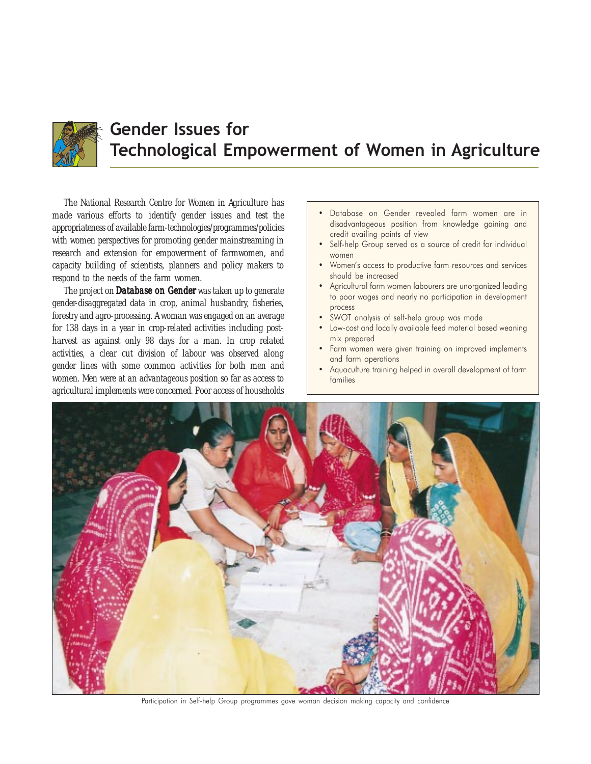

# Gender Issues for Technological Empowerment of Women in Agriculture

The National Research Centre for Women in Agriculture has made various efforts to identify gender issues and test the appropriateness of available farm-technologies/programmes/policies with women perspectives for promoting gender mainstreaming in research and extension for empowerment of farmwomen, and capacity building of scientists, planners and policy makers to respond to the needs of the farm women.

The project on Database on Gender was taken up to generate gender-disaggregated data in crop, animal husbandry, fisheries, forestry and agro-processing. A woman was engaged on an average for 138 days in a year in crop-related activities including postharvest as against only 98 days for a man. In crop related activities, a clear cut division of labour was observed along gender lines with some common activities for both men and women. Men were at an advantageous position so far as access to agricultural implements were concerned. Poor access of households

- Database on Gender revealed farm women are in disadvantageous position from knowledge gaining and credit availing points of view
- Self-help Group served as a source of credit for individual women
- Women's access to productive farm resources and services should be increased
- Agricultural farm women labourers are unorganized leading to poor wages and nearly no participation in development process
- SWOT analysis of self-help group was made
- Low-cost and locally available feed material based weaning mix prepared
- Farm women were given training on improved implements and farm operations
- Aquaculture training helped in overall development of farm families



Participation in Self-help Group programmes gave woman decision making capacity and confidence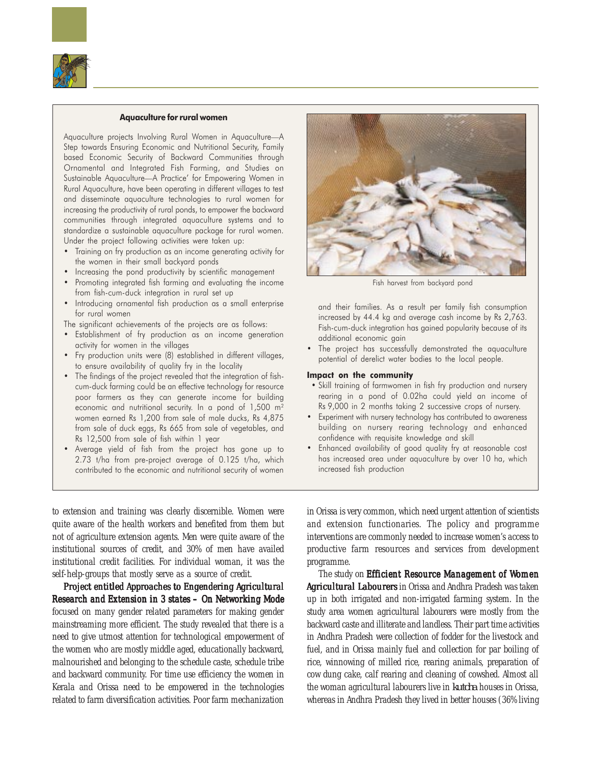

### Aquaculture for rural women

Aquaculture projects Involving Rural Women in Aquaculture—A Step towards Ensuring Economic and Nutritional Security, Family based Economic Security of Backward Communities through Ornamental and Integrated Fish Farming, and Studies on Sustainable Aquaculture—A Practice' for Empowering Women in Rural Aquaculture, have been operating in different villages to test and disseminate aquaculture technologies to rural women for increasing the productivity of rural ponds, to empower the backward communities through integrated aquaculture systems and to standardize a sustainable aquaculture package for rural women. Under the project following activities were taken up:

- Training on fry production as an income generating activity for the women in their small backyard ponds
- Increasing the pond productivity by scientific management
- Promoting integrated fish farming and evaluating the income from fish-cum-duck integration in rural set up
- Introducing ornamental fish production as a small enterprise for rural women

The significant achievements of the projects are as follows:

- Establishment of fry production as an income generation activity for women in the villages
- Fry production units were (8) established in different villages, to ensure availability of quality fry in the locality
- The findings of the project revealed that the integration of fishcum-duck farming could be an effective technology for resource poor farmers as they can generate income for building economic and nutritional security. In a pond of 1,500 m<sup>2</sup> women earned Rs 1,200 from sale of male ducks, Rs 4,875 from sale of duck eggs, Rs 665 from sale of vegetables, and Rs 12,500 from sale of fish within 1 year
- Average yield of fish from the project has gone up to 2.73 t/ha from pre-project average of 0.125 t/ha, which contributed to the economic and nutritional security of women

to extension and training was clearly discernible. Women were quite aware of the health workers and benefited from them but not of agriculture extension agents. Men were quite aware of the institutional sources of credit, and 30% of men have availed institutional credit facilities. For individual woman, it was the self-help-groups that mostly serve as a source of credit.

Project entitled Approaches to Engendering Agricultural Research and Extension in  $3$  states  $-$  On Networking Mode focused on many gender related parameters for making gender mainstreaming more efficient. The study revealed that there is a need to give utmost attention for technological empowerment of the women who are mostly middle aged, educationally backward, malnourished and belonging to the schedule caste, schedule tribe and backward community. For time use efficiency the women in Kerala and Orissa need to be empowered in the technologies related to farm diversification activities. Poor farm mechanization



Fish harvest from backyard pond

and their families. As a result per family fish consumption increased by 44.4 kg and average cash income by Rs 2,763. Fish-cum-duck integration has gained popularity because of its additional economic gain

• The project has successfully demonstrated the aquaculture potential of derelict water bodies to the local people.

#### Impact on the community

- Skill training of farmwomen in fish fry production and nursery rearing in a pond of 0.02ha could yield an income of Rs 9,000 in 2 months taking 2 successive crops of nursery.
- Experiment with nursery technology has contributed to awareness building on nursery rearing technology and enhanced confidence with requisite knowledge and skill
- Enhanced availability of good quality fry at reasonable cost has increased area under aquaculture by over 10 ha, which increased fish production

in Orissa is very common, which need urgent attention of scientists and extension functionaries. The policy and programme interventions are commonly needed to increase women's access to productive farm resources and services from development programme.

The study on Efficient Resource Management of Women Agricultural Labourers in Orissa and Andhra Pradesh was taken up in both irrigated and non-irrigated farming system. In the study area women agricultural labourers were mostly from the backward caste and illiterate and landless. Their part time activities in Andhra Pradesh were collection of fodder for the livestock and fuel, and in Orissa mainly fuel and collection for par boiling of rice, winnowing of milled rice, rearing animals, preparation of cow dung cake, calf rearing and cleaning of cowshed. Almost all the woman agricultural labourers live in *kutcha* houses in Orissa, whereas in Andhra Pradesh they lived in better houses (36% living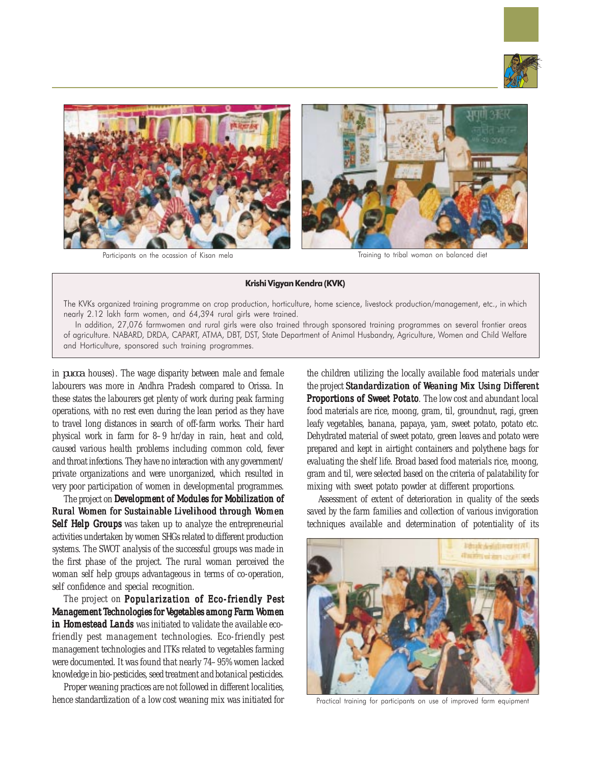



Participants on the ocassion of Kisan mela Training to tribal woman on balanced diet

#### Krishi Vigyan Kendra (KVK)

The KVKs organized training programme on crop production, horticulture, home science, livestock production/management, etc., in which nearly 2.12 lakh farm women, and 64,394 rural girls were trained.

In addition, 27,076 farmwomen and rural girls were also trained through sponsored training programmes on several frontier areas of agriculture. NABARD, DRDA, CAPART, ATMA, DBT, DST, State Department of Animal Husbandry, Agriculture, Women and Child Welfare and Horticulture, sponsored such training programmes.

in *pucca* houses). The wage disparity between male and female labourers was more in Andhra Pradesh compared to Orissa. In these states the labourers get plenty of work during peak farming operations, with no rest even during the lean period as they have to travel long distances in search of off-farm works. Their hard physical work in farm for 8–9 hr/day in rain, heat and cold, caused various health problems including common cold, fever and throat infections. They have no interaction with any government/ private organizations and were unorganized, which resulted in very poor participation of women in developmental programmes.

The project on Development of Modules for Mobilization of Rural Women for Sustainable Livelihood through Women Self Help Groups was taken up to analyze the entrepreneurial activities undertaken by women SHGs related to different production systems. The SWOT analysis of the successful groups was made in the first phase of the project. The rural woman perceived the woman self help groups advantageous in terms of co-operation, self confidence and special recognition.

The project on Popularization of Eco-friendly Pest Management Technologies for Vegetables among Farm Women in Homestead Lands was initiated to validate the available ecofriendly pest management technologies. Eco-friendly pest management technologies and ITKs related to vegetables farming were documented. It was found that nearly 74–95% women lacked knowledge in bio-pesticides, seed treatment and botanical pesticides.

Proper weaning practices are not followed in different localities, hence standardization of a low cost weaning mix was initiated for the children utilizing the locally available food materials under the project Standardization of Weaning Mix Using Different Proportions of Sweet Potato. The low cost and abundant local food materials are rice, moong, gram, til, groundnut, ragi, green leafy vegetables, banana, papaya, yam, sweet potato, potato etc. Dehydrated material of sweet potato, green leaves and potato were prepared and kept in airtight containers and polythene bags for evaluating the shelf life. Broad based food materials rice, moong, gram and til, were selected based on the criteria of palatability for mixing with sweet potato powder at different proportions.

Assessment of extent of deterioration in quality of the seeds saved by the farm families and collection of various invigoration techniques available and determination of potentiality of its



Practical training for participants on use of improved farm equipment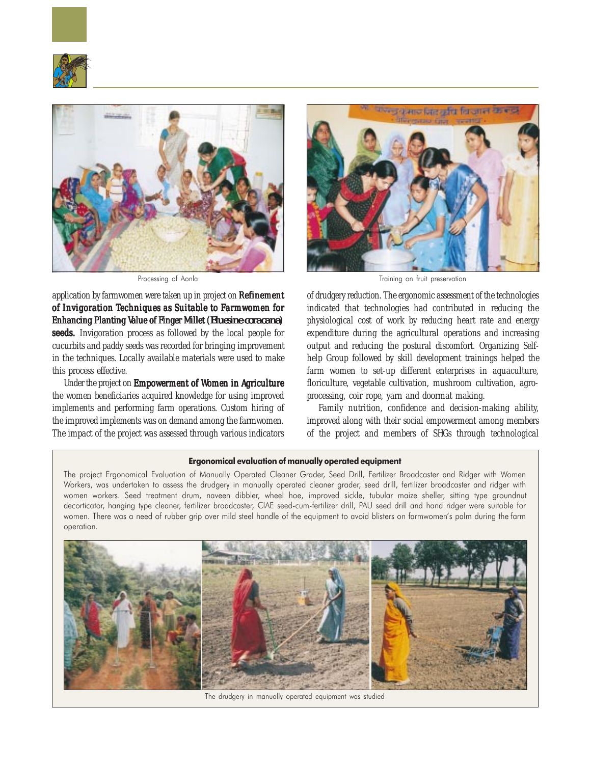



application by farmwomen were taken up in project on Refinement of Invigoration Techniques as Suitable to Farmwomen for Enhancing Planting Value of Finger Millet (*Eluesine coracana*) seeds. Invigoration process as followed by the local people for cucurbits and paddy seeds was recorded for bringing improvement in the techniques. Locally available materials were used to make this process effective.

Under the project on Empowerment of Women in Agriculture the women beneficiaries acquired knowledge for using improved implements and performing farm operations. Custom hiring of the improved implements was on demand among the farmwomen. The impact of the project was assessed through various indicators



Processing of Aonla **Training** on fruit preservation

of drudgery reduction. The ergonomic assessment of the technologies indicated that technologies had contributed in reducing the physiological cost of work by reducing heart rate and energy expenditure during the agricultural operations and increasing output and reducing the postural discomfort. Organizing Selfhelp Group followed by skill development trainings helped the farm women to set-up different enterprises in aquaculture, floriculture, vegetable cultivation, mushroom cultivation, agroprocessing, coir rope, yarn and doormat making.

Family nutrition, confidence and decision-making ability, improved along with their social empowerment among members of the project and members of SHGs through technological

# Ergonomical evaluation of manually operated equipment

The project Ergonomical Evaluation of Manually Operated Cleaner Grader, Seed Drill, Fertilizer Broadcaster and Ridger with Women Workers, was undertaken to assess the drudgery in manually operated cleaner grader, seed drill, fertilizer broadcaster and ridger with women workers. Seed treatment drum, naveen dibbler, wheel hoe, improved sickle, tubular maize sheller, sitting type groundnut decorticator, hanging type cleaner, fertilizer broadcaster, CIAE seed-cum-fertilizer drill, PAU seed drill and hand ridger were suitable for women. There was a need of rubber grip over mild steel handle of the equipment to avoid blisters on farmwomen's palm during the farm operation.



The drudgery in manually operated equipment was studied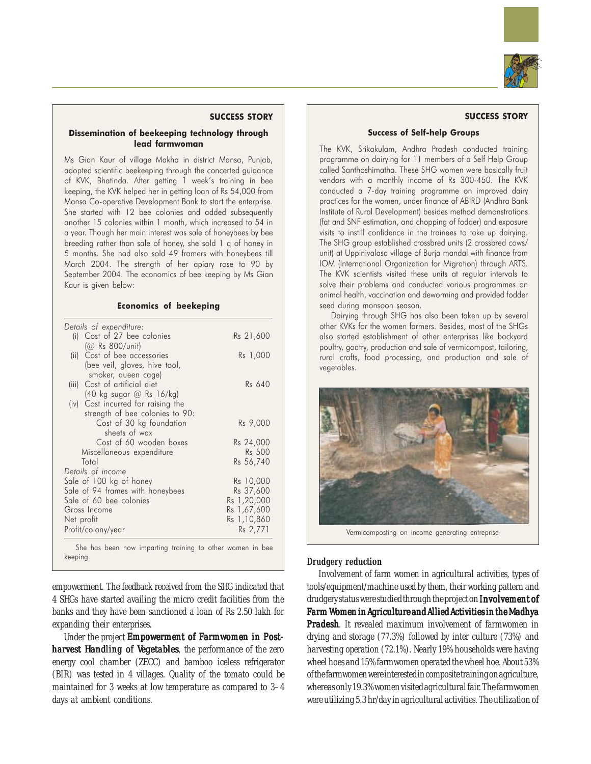

#### SUCCESS STORY

# Dissemination of beekeeping technology through lead farmwoman

Ms Gian Kaur of village Makha in district Mansa, Punjab, adopted scientific beekeeping through the concerted guidance of KVK, Bhatinda. After getting 1 week's training in bee keeping, the KVK helped her in getting loan of Rs 54,000 from Mansa Co-operative Development Bank to start the enterprise. She started with 12 bee colonies and added subsequently another 15 colonies within 1 month, which increased to 54 in a year. Though her main interest was sale of honeybees by bee breeding rather than sale of honey, she sold 1 q of honey in 5 months. She had also sold 49 framers with honeybees till March 2004. The strength of her apiary rose to 90 by September 2004. The economics of bee keeping by Ms Gian Kaur is given below:

## Economics of beekeping

| Rs 21,600<br>Rs 1,000<br>Rs 640                           |
|-----------------------------------------------------------|
|                                                           |
|                                                           |
|                                                           |
|                                                           |
|                                                           |
|                                                           |
|                                                           |
|                                                           |
|                                                           |
| Rs 9,000                                                  |
|                                                           |
| Rs 24,000                                                 |
| <b>Rs 500</b>                                             |
| Rs 56,740                                                 |
|                                                           |
| Rs 10,000                                                 |
| Rs 37,600                                                 |
| Rs 1,20,000<br>Rs 1,67,600                                |
| Rs 1,10,860                                               |
| Rs 2,771                                                  |
| She has been now imparting training to other women in bee |

empowerment. The feedback received from the SHG indicated that 4 SHGs have started availing the micro credit facilities from the banks and they have been sanctioned a loan of Rs 2.50 lakh for expanding their enterprises.

Under the project Empowerment of Farmwomen in Postharvest Handling of Vegetables, the performance of the zero energy cool chamber (ZECC) and bamboo iceless refrigerator (BIR) was tested in 4 villages. Quality of the tomato could be maintained for 3 weeks at low temperature as compared to 3–4 days at ambient conditions.

## SUCCESS STORY

# Success of Self-help Groups

The KVK, Srikakulam, Andhra Pradesh conducted training programme on dairying for 11 members of a Self Help Group called Santhoshimatha. These SHG women were basically fruit vendors with a monthly income of Rs 300-450. The KVK conducted a 7-day training programme on improved dairy practices for the women, under finance of ABIRD (Andhra Bank Institute of Rural Development) besides method demonstrations (fat and SNF estimation, and chopping of fodder) and exposure visits to instill confidence in the trainees to take up dairying. The SHG group established crossbred units (2 crossbred cows/ unit) at Uppinivalasa village of Burja mandal with finance from IOM (International Organization for Migration) through ARTS. The KVK scientists visited these units at regular intervals to solve their problems and conducted various programmes on animal health, vaccination and deworming and provided fodder seed during monsoon season.

Dairying through SHG has also been taken up by several other KVKs for the women farmers. Besides, most of the SHGs also started establishment of other enterprises like backyard poultry, goatry, production and sale of vermicompost, tailoring, rural crafts, food processing, and production and sale of vegetables.



Vermicomposting on income generating entreprise

### **Drudgery reduction**

Involvement of farm women in agricultural activities, types of tools/equipment/machine used by them, their working pattern and drudgery status were studied through the project on Involvement of Farm Women in Agriculture and Allied Activities in the Madhya **Pradesh.** It revealed maximum involvement of farmwomen in drying and storage (77.3%) followed by inter culture (73%) and harvesting operation (72.1%). Nearly 19% households were having wheel hoes and 15% farmwomen operated the wheel hoe. About 53% of the farmwomen were interested in composite training on agriculture, whereas only 19.3% women visited agricultural fair. The farmwomen were utilizing 5.3 hr/day in agricultural activities. The utilization of